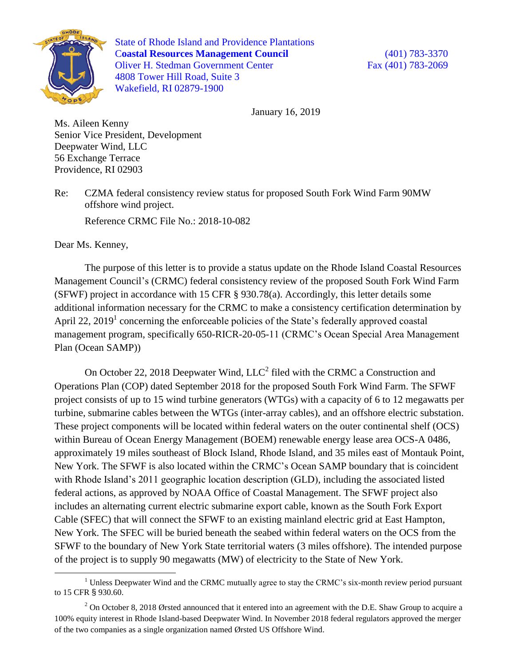

State of Rhode Island and Providence Plantations C**oastal Resources Management Council** (401) 783-3370 Oliver H. Stedman Government Center Fax (401) 783-2069 4808 Tower Hill Road, Suite 3 Wakefield, RI 02879-1900

January 16, 2019

Ms. Aileen Kenny Senior Vice President, Development Deepwater Wind, LLC 56 Exchange Terrace Providence, RI 02903

Re: CZMA federal consistency review status for proposed South Fork Wind Farm 90MW offshore wind project.

Reference CRMC File No.: 2018-10-082

Dear Ms. Kenney,

The purpose of this letter is to provide a status update on the Rhode Island Coastal Resources Management Council's (CRMC) federal consistency review of the proposed South Fork Wind Farm (SFWF) project in accordance with 15 CFR § 930.78(a). Accordingly, this letter details some additional information necessary for the CRMC to make a consistency certification determination by April 22, 2019<sup>1</sup> concerning the enforceable policies of the State's federally approved coastal management program, specifically 650-RICR-20-05-11 (CRMC's Ocean Special Area Management Plan (Ocean SAMP))

On October 22, 2018 Deepwater Wind,  $LLC<sup>2</sup>$  filed with the CRMC a Construction and Operations Plan (COP) dated September 2018 for the proposed South Fork Wind Farm. The SFWF project consists of up to 15 wind turbine generators (WTGs) with a capacity of 6 to 12 megawatts per turbine, submarine cables between the WTGs (inter-array cables), and an offshore electric substation. These project components will be located within federal waters on the outer continental shelf (OCS) within Bureau of Ocean Energy Management (BOEM) renewable energy lease area OCS-A 0486, approximately 19 miles southeast of Block Island, Rhode Island, and 35 miles east of Montauk Point, New York. The SFWF is also located within the CRMC's Ocean SAMP boundary that is coincident with Rhode Island's 2011 geographic location description (GLD), including the associated listed federal actions, as approved by NOAA Office of Coastal Management. The SFWF project also includes an alternating current electric submarine export cable, known as the South Fork Export Cable (SFEC) that will connect the SFWF to an existing mainland electric grid at East Hampton, New York. The SFEC will be buried beneath the seabed within federal waters on the OCS from the SFWF to the boundary of New York State territorial waters (3 miles offshore). The intended purpose of the project is to supply 90 megawatts (MW) of electricity to the State of New York.

 $1$  Unless Deepwater Wind and the CRMC mutually agree to stay the CRMC's six-month review period pursuant to 15 CFR § 930.60.

<sup>&</sup>lt;sup>2</sup> On October 8, 2018 Ørsted announced that it entered into an agreement with the D.E. Shaw Group to acquire a 100% equity interest in Rhode Island-based Deepwater Wind. In November 2018 federal regulators approved the merger of the two companies as a single organization named Ørsted US Offshore Wind.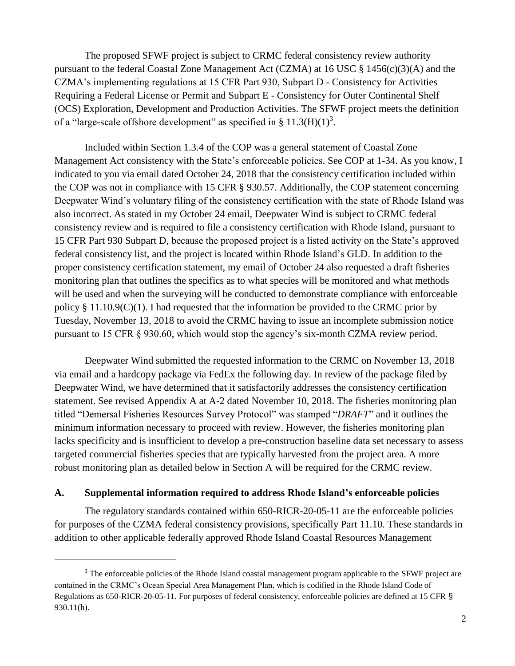The proposed SFWF project is subject to CRMC federal consistency review authority pursuant to the federal Coastal Zone Management Act (CZMA) at 16 USC § 1456(c)(3)(A) and the CZMA's implementing regulations at 15 CFR Part 930, Subpart D - Consistency for Activities Requiring a Federal License or Permit and Subpart E - Consistency for Outer Continental Shelf (OCS) Exploration, Development and Production Activities. The SFWF project meets the definition of a "large-scale offshore development" as specified in §  $11.3(H)(1)<sup>3</sup>$ .

Included within Section 1.3.4 of the COP was a general statement of Coastal Zone Management Act consistency with the State's enforceable policies. See COP at 1-34. As you know, I indicated to you via email dated October 24, 2018 that the consistency certification included within the COP was not in compliance with 15 CFR § 930.57. Additionally, the COP statement concerning Deepwater Wind's voluntary filing of the consistency certification with the state of Rhode Island was also incorrect. As stated in my October 24 email, Deepwater Wind is subject to CRMC federal consistency review and is required to file a consistency certification with Rhode Island, pursuant to 15 CFR Part 930 Subpart D, because the proposed project is a listed activity on the State's approved federal consistency list, and the project is located within Rhode Island's GLD. In addition to the proper consistency certification statement, my email of October 24 also requested a draft fisheries monitoring plan that outlines the specifics as to what species will be monitored and what methods will be used and when the surveying will be conducted to demonstrate compliance with enforceable policy § 11.10.9(C)(1). I had requested that the information be provided to the CRMC prior by Tuesday, November 13, 2018 to avoid the CRMC having to issue an incomplete submission notice pursuant to 15 CFR § 930.60, which would stop the agency's six-month CZMA review period.

Deepwater Wind submitted the requested information to the CRMC on November 13, 2018 via email and a hardcopy package via FedEx the following day. In review of the package filed by Deepwater Wind, we have determined that it satisfactorily addresses the consistency certification statement. See revised Appendix A at A-2 dated November 10, 2018. The fisheries monitoring plan titled "Demersal Fisheries Resources Survey Protocol" was stamped "*DRAFT*" and it outlines the minimum information necessary to proceed with review. However, the fisheries monitoring plan lacks specificity and is insufficient to develop a pre-construction baseline data set necessary to assess targeted commercial fisheries species that are typically harvested from the project area. A more robust monitoring plan as detailed below in Section A will be required for the CRMC review.

## **A. Supplemental information required to address Rhode Island's enforceable policies**

 $\overline{a}$ 

The regulatory standards contained within 650-RICR-20-05-11 are the enforceable policies for purposes of the CZMA federal consistency provisions, specifically Part 11.10. These standards in addition to other applicable federally approved Rhode Island Coastal Resources Management

<sup>&</sup>lt;sup>3</sup> The enforceable policies of the Rhode Island coastal management program applicable to the SFWF project are contained in the CRMC's Ocean Special Area Management Plan, which is codified in the Rhode Island Code of Regulations as 650-RICR-20-05-11. For purposes of federal consistency, enforceable policies are defined at 15 CFR § 930.11(h).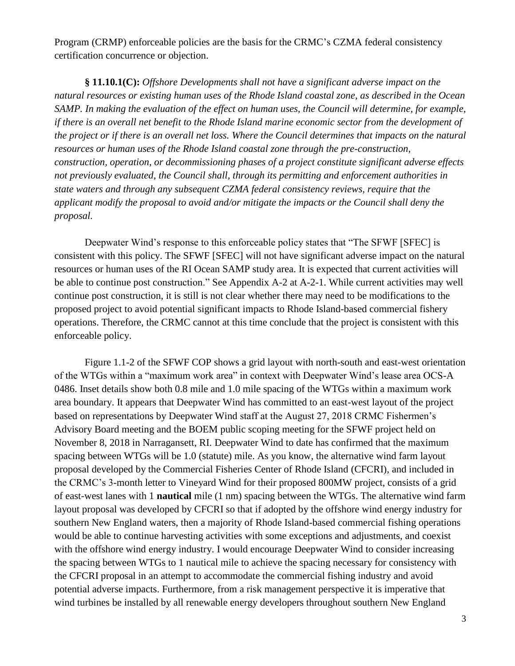Program (CRMP) enforceable policies are the basis for the CRMC's CZMA federal consistency certification concurrence or objection.

**§ 11.10.1(C):** *Offshore Developments shall not have a significant adverse impact on the natural resources or existing human uses of the Rhode Island coastal zone, as described in the Ocean SAMP. In making the evaluation of the effect on human uses, the Council will determine, for example, if there is an overall net benefit to the Rhode Island marine economic sector from the development of the project or if there is an overall net loss. Where the Council determines that impacts on the natural resources or human uses of the Rhode Island coastal zone through the pre-construction, construction, operation, or decommissioning phases of a project constitute significant adverse effects not previously evaluated, the Council shall, through its permitting and enforcement authorities in state waters and through any subsequent CZMA federal consistency reviews, require that the applicant modify the proposal to avoid and/or mitigate the impacts or the Council shall deny the proposal.*

Deepwater Wind's response to this enforceable policy states that "The SFWF [SFEC] is consistent with this policy. The SFWF [SFEC] will not have significant adverse impact on the natural resources or human uses of the RI Ocean SAMP study area. It is expected that current activities will be able to continue post construction." See Appendix A-2 at A-2-1. While current activities may well continue post construction, it is still is not clear whether there may need to be modifications to the proposed project to avoid potential significant impacts to Rhode Island-based commercial fishery operations. Therefore, the CRMC cannot at this time conclude that the project is consistent with this enforceable policy.

Figure 1.1-2 of the SFWF COP shows a grid layout with north-south and east-west orientation of the WTGs within a "maximum work area" in context with Deepwater Wind's lease area OCS-A 0486. Inset details show both 0.8 mile and 1.0 mile spacing of the WTGs within a maximum work area boundary. It appears that Deepwater Wind has committed to an east-west layout of the project based on representations by Deepwater Wind staff at the August 27, 2018 CRMC Fishermen's Advisory Board meeting and the BOEM public scoping meeting for the SFWF project held on November 8, 2018 in Narragansett, RI. Deepwater Wind to date has confirmed that the maximum spacing between WTGs will be 1.0 (statute) mile. As you know, the alternative wind farm layout proposal developed by the Commercial Fisheries Center of Rhode Island (CFCRI), and included in the CRMC's 3-month letter to Vineyard Wind for their proposed 800MW project, consists of a grid of east-west lanes with 1 **nautical** mile (1 nm) spacing between the WTGs. The alternative wind farm layout proposal was developed by CFCRI so that if adopted by the offshore wind energy industry for southern New England waters, then a majority of Rhode Island-based commercial fishing operations would be able to continue harvesting activities with some exceptions and adjustments, and coexist with the offshore wind energy industry. I would encourage Deepwater Wind to consider increasing the spacing between WTGs to 1 nautical mile to achieve the spacing necessary for consistency with the CFCRI proposal in an attempt to accommodate the commercial fishing industry and avoid potential adverse impacts. Furthermore, from a risk management perspective it is imperative that wind turbines be installed by all renewable energy developers throughout southern New England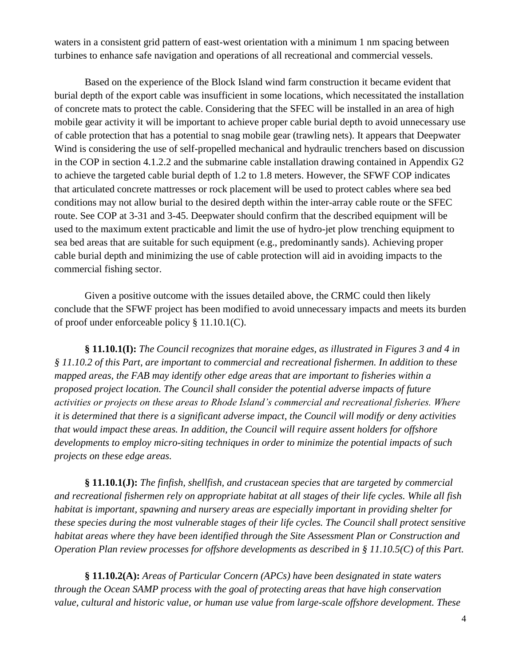waters in a consistent grid pattern of east-west orientation with a minimum 1 nm spacing between turbines to enhance safe navigation and operations of all recreational and commercial vessels.

Based on the experience of the Block Island wind farm construction it became evident that burial depth of the export cable was insufficient in some locations, which necessitated the installation of concrete mats to protect the cable. Considering that the SFEC will be installed in an area of high mobile gear activity it will be important to achieve proper cable burial depth to avoid unnecessary use of cable protection that has a potential to snag mobile gear (trawling nets). It appears that Deepwater Wind is considering the use of self-propelled mechanical and hydraulic trenchers based on discussion in the COP in section 4.1.2.2 and the submarine cable installation drawing contained in Appendix G2 to achieve the targeted cable burial depth of 1.2 to 1.8 meters. However, the SFWF COP indicates that articulated concrete mattresses or rock placement will be used to protect cables where sea bed conditions may not allow burial to the desired depth within the inter-array cable route or the SFEC route. See COP at 3-31 and 3-45. Deepwater should confirm that the described equipment will be used to the maximum extent practicable and limit the use of hydro-jet plow trenching equipment to sea bed areas that are suitable for such equipment (e.g., predominantly sands). Achieving proper cable burial depth and minimizing the use of cable protection will aid in avoiding impacts to the commercial fishing sector.

Given a positive outcome with the issues detailed above, the CRMC could then likely conclude that the SFWF project has been modified to avoid unnecessary impacts and meets its burden of proof under enforceable policy § 11.10.1(C).

**§ 11.10.1(I):** *The Council recognizes that moraine edges, as illustrated in Figures 3 and 4 in § 11.10.2 of this Part, are important to commercial and recreational fishermen. In addition to these mapped areas, the FAB may identify other edge areas that are important to fisheries within a proposed project location. The Council shall consider the potential adverse impacts of future activities or projects on these areas to Rhode Island's commercial and recreational fisheries. Where it is determined that there is a significant adverse impact, the Council will modify or deny activities that would impact these areas. In addition, the Council will require assent holders for offshore developments to employ micro-siting techniques in order to minimize the potential impacts of such projects on these edge areas.*

**§ 11.10.1(J):** *The finfish, shellfish, and crustacean species that are targeted by commercial and recreational fishermen rely on appropriate habitat at all stages of their life cycles. While all fish habitat is important, spawning and nursery areas are especially important in providing shelter for these species during the most vulnerable stages of their life cycles. The Council shall protect sensitive habitat areas where they have been identified through the Site Assessment Plan or Construction and Operation Plan review processes for offshore developments as described in § 11.10.5(C) of this Part.*

**§ 11.10.2(A):** *Areas of Particular Concern (APCs) have been designated in state waters through the Ocean SAMP process with the goal of protecting areas that have high conservation value, cultural and historic value, or human use value from large-scale offshore development. These*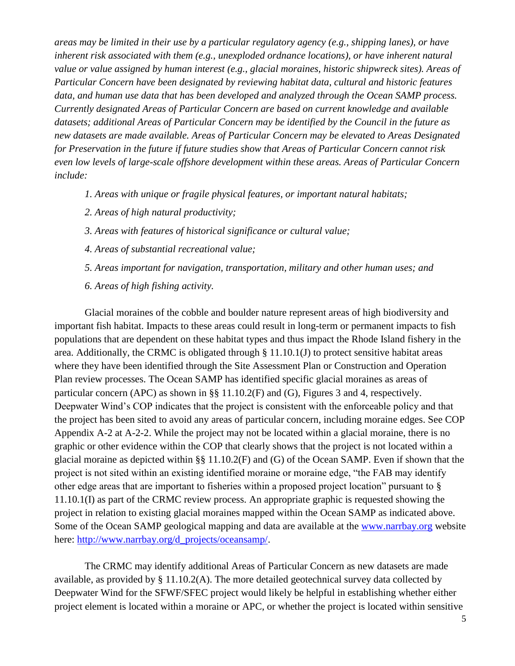*areas may be limited in their use by a particular regulatory agency (e.g., shipping lanes), or have inherent risk associated with them (e.g., unexploded ordnance locations), or have inherent natural value or value assigned by human interest (e.g., glacial moraines, historic shipwreck sites). Areas of Particular Concern have been designated by reviewing habitat data, cultural and historic features data, and human use data that has been developed and analyzed through the Ocean SAMP process. Currently designated Areas of Particular Concern are based on current knowledge and available datasets; additional Areas of Particular Concern may be identified by the Council in the future as new datasets are made available. Areas of Particular Concern may be elevated to Areas Designated for Preservation in the future if future studies show that Areas of Particular Concern cannot risk even low levels of large-scale offshore development within these areas. Areas of Particular Concern include:*

- *1. Areas with unique or fragile physical features, or important natural habitats;*
- *2. Areas of high natural productivity;*
- *3. Areas with features of historical significance or cultural value;*
- *4. Areas of substantial recreational value;*
- *5. Areas important for navigation, transportation, military and other human uses; and*
- *6. Areas of high fishing activity.*

Glacial moraines of the cobble and boulder nature represent areas of high biodiversity and important fish habitat. Impacts to these areas could result in long-term or permanent impacts to fish populations that are dependent on these habitat types and thus impact the Rhode Island fishery in the area. Additionally, the CRMC is obligated through § 11.10.1(J) to protect sensitive habitat areas where they have been identified through the Site Assessment Plan or Construction and Operation Plan review processes. The Ocean SAMP has identified specific glacial moraines as areas of particular concern (APC) as shown in §§ 11.10.2(F) and (G), Figures 3 and 4, respectively. Deepwater Wind's COP indicates that the project is consistent with the enforceable policy and that the project has been sited to avoid any areas of particular concern, including moraine edges. See COP Appendix A-2 at A-2-2. While the project may not be located within a glacial moraine, there is no graphic or other evidence within the COP that clearly shows that the project is not located within a glacial moraine as depicted within §§ 11.10.2(F) and (G) of the Ocean SAMP. Even if shown that the project is not sited within an existing identified moraine or moraine edge, "the FAB may identify other edge areas that are important to fisheries within a proposed project location" pursuant to § 11.10.1(I) as part of the CRMC review process. An appropriate graphic is requested showing the project in relation to existing glacial moraines mapped within the Ocean SAMP as indicated above. Some of the Ocean SAMP geological mapping and data are available at the [www.narrbay.org](http://www.narrbay.org/) website here: [http://www.narrbay.org/d\\_projects/oceansamp/.](http://www.narrbay.org/d_projects/oceansamp/)

The CRMC may identify additional Areas of Particular Concern as new datasets are made available, as provided by  $\S 11.10.2(A)$ . The more detailed geotechnical survey data collected by Deepwater Wind for the SFWF/SFEC project would likely be helpful in establishing whether either project element is located within a moraine or APC, or whether the project is located within sensitive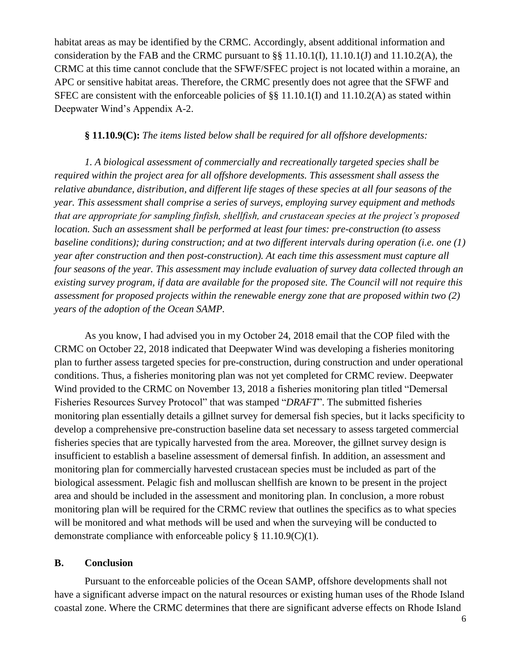habitat areas as may be identified by the CRMC. Accordingly, absent additional information and consideration by the FAB and the CRMC pursuant to §§ 11.10.1(I), 11.10.1(J) and 11.10.2(A), the CRMC at this time cannot conclude that the SFWF/SFEC project is not located within a moraine, an APC or sensitive habitat areas. Therefore, the CRMC presently does not agree that the SFWF and SFEC are consistent with the enforceable policies of §§ 11.10.1(I) and 11.10.2(A) as stated within Deepwater Wind's Appendix A-2.

## **§ 11.10.9(C):** *The items listed below shall be required for all offshore developments:*

*1. A biological assessment of commercially and recreationally targeted species shall be required within the project area for all offshore developments. This assessment shall assess the relative abundance, distribution, and different life stages of these species at all four seasons of the year. This assessment shall comprise a series of surveys, employing survey equipment and methods that are appropriate for sampling finfish, shellfish, and crustacean species at the project's proposed location. Such an assessment shall be performed at least four times: pre-construction (to assess baseline conditions); during construction; and at two different intervals during operation (i.e. one (1) year after construction and then post-construction). At each time this assessment must capture all four seasons of the year. This assessment may include evaluation of survey data collected through an existing survey program, if data are available for the proposed site. The Council will not require this assessment for proposed projects within the renewable energy zone that are proposed within two (2) years of the adoption of the Ocean SAMP.*

As you know, I had advised you in my October 24, 2018 email that the COP filed with the CRMC on October 22, 2018 indicated that Deepwater Wind was developing a fisheries monitoring plan to further assess targeted species for pre-construction, during construction and under operational conditions. Thus, a fisheries monitoring plan was not yet completed for CRMC review. Deepwater Wind provided to the CRMC on November 13, 2018 a fisheries monitoring plan titled "Demersal Fisheries Resources Survey Protocol" that was stamped "*DRAFT*". The submitted fisheries monitoring plan essentially details a gillnet survey for demersal fish species, but it lacks specificity to develop a comprehensive pre-construction baseline data set necessary to assess targeted commercial fisheries species that are typically harvested from the area. Moreover, the gillnet survey design is insufficient to establish a baseline assessment of demersal finfish. In addition, an assessment and monitoring plan for commercially harvested crustacean species must be included as part of the biological assessment. Pelagic fish and molluscan shellfish are known to be present in the project area and should be included in the assessment and monitoring plan. In conclusion, a more robust monitoring plan will be required for the CRMC review that outlines the specifics as to what species will be monitored and what methods will be used and when the surveying will be conducted to demonstrate compliance with enforceable policy § 11.10.9(C)(1).

## **B. Conclusion**

Pursuant to the enforceable policies of the Ocean SAMP, offshore developments shall not have a significant adverse impact on the natural resources or existing human uses of the Rhode Island coastal zone. Where the CRMC determines that there are significant adverse effects on Rhode Island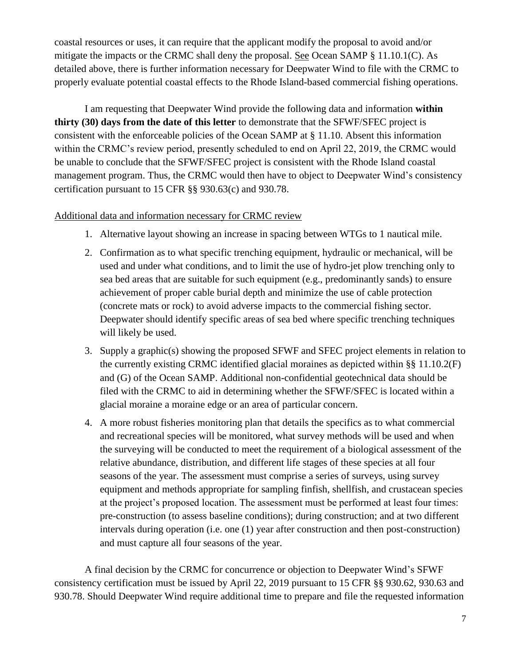coastal resources or uses, it can require that the applicant modify the proposal to avoid and/or mitigate the impacts or the CRMC shall deny the proposal. See Ocean SAMP § 11.10.1(C). As detailed above, there is further information necessary for Deepwater Wind to file with the CRMC to properly evaluate potential coastal effects to the Rhode Island-based commercial fishing operations.

I am requesting that Deepwater Wind provide the following data and information **within thirty (30) days from the date of this letter** to demonstrate that the SFWF/SFEC project is consistent with the enforceable policies of the Ocean SAMP at § 11.10. Absent this information within the CRMC's review period, presently scheduled to end on April 22, 2019, the CRMC would be unable to conclude that the SFWF/SFEC project is consistent with the Rhode Island coastal management program. Thus, the CRMC would then have to object to Deepwater Wind's consistency certification pursuant to 15 CFR §§ 930.63(c) and 930.78.

## Additional data and information necessary for CRMC review

- 1. Alternative layout showing an increase in spacing between WTGs to 1 nautical mile.
- 2. Confirmation as to what specific trenching equipment, hydraulic or mechanical, will be used and under what conditions, and to limit the use of hydro-jet plow trenching only to sea bed areas that are suitable for such equipment (e.g., predominantly sands) to ensure achievement of proper cable burial depth and minimize the use of cable protection (concrete mats or rock) to avoid adverse impacts to the commercial fishing sector. Deepwater should identify specific areas of sea bed where specific trenching techniques will likely be used.
- 3. Supply a graphic(s) showing the proposed SFWF and SFEC project elements in relation to the currently existing CRMC identified glacial moraines as depicted within §§ 11.10.2(F) and (G) of the Ocean SAMP. Additional non-confidential geotechnical data should be filed with the CRMC to aid in determining whether the SFWF/SFEC is located within a glacial moraine a moraine edge or an area of particular concern.
- 4. A more robust fisheries monitoring plan that details the specifics as to what commercial and recreational species will be monitored, what survey methods will be used and when the surveying will be conducted to meet the requirement of a biological assessment of the relative abundance, distribution, and different life stages of these species at all four seasons of the year. The assessment must comprise a series of surveys, using survey equipment and methods appropriate for sampling finfish, shellfish, and crustacean species at the project's proposed location. The assessment must be performed at least four times: pre-construction (to assess baseline conditions); during construction; and at two different intervals during operation (i.e. one (1) year after construction and then post-construction) and must capture all four seasons of the year.

A final decision by the CRMC for concurrence or objection to Deepwater Wind's SFWF consistency certification must be issued by April 22, 2019 pursuant to 15 CFR §§ 930.62, 930.63 and 930.78. Should Deepwater Wind require additional time to prepare and file the requested information